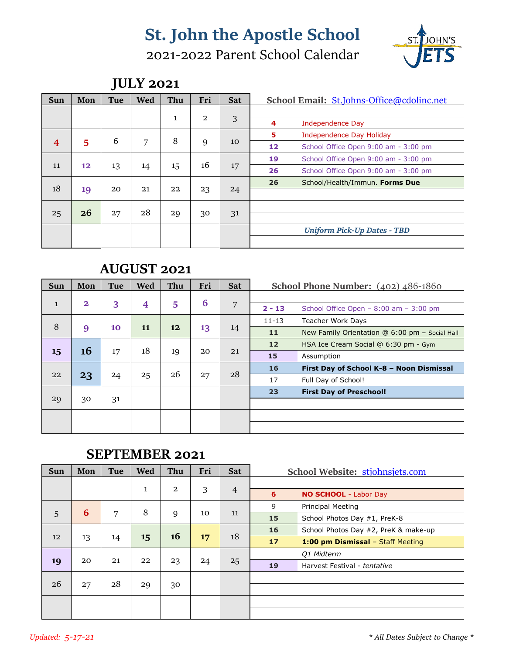# 2021-2022 Parent School Calendar



|     |     | J   |     |              |                |            |                                            |
|-----|-----|-----|-----|--------------|----------------|------------|--------------------------------------------|
| Sun | Mon | Tue | Wed | Thu          | Fri            | <b>Sat</b> | School Email: St.Johns-Office@cdolinc.net  |
|     |     |     |     |              |                |            |                                            |
|     |     |     |     | $\mathbf{1}$ | $\overline{a}$ | 3          | 4<br>Independence Day                      |
|     |     |     |     |              |                |            | 5<br>Independence Day Holiday              |
| 4   | 5   | 6   | 7   | 8            | 9              | 10         | 12<br>School Office Open 9:00 am - 3:00 pm |
|     |     |     |     |              |                |            | 19<br>School Office Open 9:00 am - 3:00 pm |
| 11  | 12  | 13  | 14  | 15           | 16             | 17         | 26<br>School Office Open 9:00 am - 3:00 pm |
|     |     |     |     |              |                |            | 26<br>School/Health/Immun. Forms Due       |
| 18  | 19  | 20  | 21  | 22           | 23             | 24         |                                            |
|     |     |     |     |              |                |            |                                            |
| 25  | 26  | 27  | 28  | 29           | 30             | 31         |                                            |
|     |     |     |     |              |                |            | <b>Uniform Pick-Up Dates - TBD</b>         |
|     |     |     |     |              |                |            |                                            |

### **JULY 2021**

### **AUGUST 2021**

| Sun          | Mon          | Tue | Wed | Thu | Fri | <b>Sat</b> |           | School Phone Number: (402) 486-1860            |
|--------------|--------------|-----|-----|-----|-----|------------|-----------|------------------------------------------------|
| $\mathbf{1}$ | $\mathbf{2}$ | 3   | 4   | 5   | 6   | 7          |           |                                                |
|              |              |     |     |     |     |            | $2 - 13$  | School Office Open $- 8:00$ am $- 3:00$ pm     |
| 8            |              |     |     |     |     |            | $11 - 13$ | <b>Teacher Work Days</b>                       |
|              | 9            | 10  | 11  | 12  | 13  | 14         | 11        | New Family Orientation @ 6:00 pm - Social Hall |
|              |              |     |     |     |     |            | 12        | HSA Ice Cream Social @ 6:30 pm - Gym           |
| 15           | 16           | 17  | 18  | 19  | 20  | 21         | 15        | Assumption                                     |
|              |              |     |     |     |     |            | 16        | First Day of School K-8 - Noon Dismissal       |
| 22           | 23           | 24  | 25  | 26  | 27  | 28         | 17        | Full Day of School!                            |
|              |              |     |     |     |     |            | 23        | <b>First Day of Preschool!</b>                 |
| 29           | 30           | 31  |     |     |     |            |           |                                                |
|              |              |     |     |     |     |            |           |                                                |
|              |              |     |     |     |     |            |           |                                                |

### **SEPTEMBER 2021**

| Sun | Mon | Tue | Wed          | Thu            | Fri | <b>Sat</b>     | School Website: stjohnsjets.com            |
|-----|-----|-----|--------------|----------------|-----|----------------|--------------------------------------------|
|     |     |     | $\mathbf{1}$ | $\overline{a}$ | 3   | $\overline{4}$ | 6<br><b>NO SCHOOL</b> - Labor Day          |
|     |     |     |              |                |     |                | 9<br><b>Principal Meeting</b>              |
| 5   | 6   | 7   | 8            | 9              | 10  | 11             | 15<br>School Photos Day #1, PreK-8         |
|     |     |     |              |                |     |                | 16<br>School Photos Day #2, PreK & make-up |
| 12  | 13  | 14  | 15           | 16             | 17  | 18             | 17<br>1:00 pm Dismissal - Staff Meeting    |
|     |     |     |              |                |     |                | <b>Q1 Midterm</b>                          |
| 19  | 20  | 21  | 22           | 23             | 24  | 25             | 19<br>Harvest Festival - tentative         |
|     |     |     |              |                |     |                |                                            |
| 26  | 27  | 28  | 29           | 30             |     |                |                                            |
|     |     |     |              |                |     |                |                                            |
|     |     |     |              |                |     |                |                                            |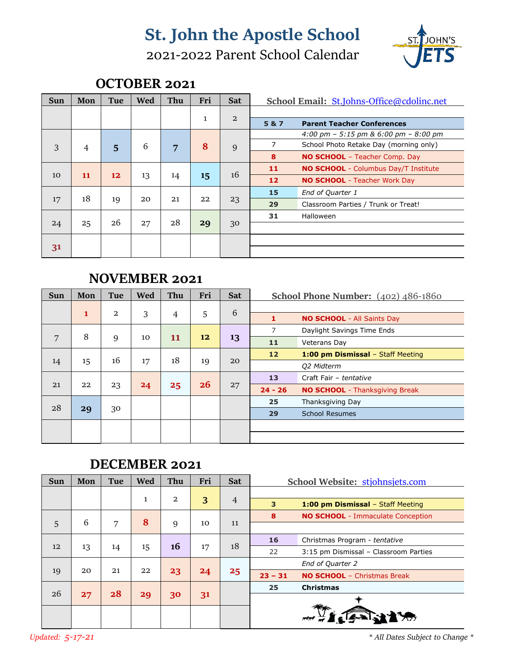# 2021-2022 Parent School Calendar



### **OCTOBER 2021**

| Sun | Mon | Tue | Wed | Thu | Fri          | <b>Sat</b>     |       | School Email: St.Johns-Office@cdolinc.net   |
|-----|-----|-----|-----|-----|--------------|----------------|-------|---------------------------------------------|
|     |     |     |     |     |              |                |       |                                             |
|     |     |     |     |     | $\mathbf{1}$ | $\overline{a}$ | 5 & 7 | <b>Parent Teacher Conferences</b>           |
|     |     |     |     |     |              |                |       | 4:00 pm – 5:15 pm & 6:00 pm – 8:00 pm       |
| 3   | 4   | 5   | 6   | 7   | 8            | 9              | 7     | School Photo Retake Day (morning only)      |
|     |     |     |     |     |              |                | 8     | <b>NO SCHOOL</b> - Teacher Comp. Day        |
|     |     |     |     |     |              |                | 11    | <b>NO SCHOOL</b> - Columbus Day/T Institute |
| 10  | 11  | 12  | 13  | 14  | $15 \,$      | 16             | 12    | <b>NO SCHOOL</b> - Teacher Work Day         |
|     |     |     |     |     |              |                | 15    | End of Quarter 1                            |
| 17  | 18  | 19  | 20  | 21  | 22           | 23             | 29    | Classroom Parties / Trunk or Treat!         |
|     |     |     |     |     |              |                | 31    | Halloween                                   |
| 24  | 25  | 26  | 27  | 28  | 29           | 30             |       |                                             |
|     |     |     |     |     |              |                |       |                                             |
| 31  |     |     |     |     |              |                |       |                                             |

### **NOVEMBER 2021**

| Sun | Mon | Tue            | Wed | Thu            | Fri | <b>Sat</b> |           | School Phone Number: $(402)$ $486-1860$ |
|-----|-----|----------------|-----|----------------|-----|------------|-----------|-----------------------------------------|
|     |     |                |     |                |     | $\sqrt{6}$ |           |                                         |
|     | 1   | $\overline{2}$ | 3   | $\overline{4}$ | 5   |            | 1         | <b>NO SCHOOL</b> - All Saints Day       |
|     |     |                |     |                |     |            | 7         | Daylight Savings Time Ends              |
| 7   | 8   | 9              | 10  | 11             | 12  | 13         | 11        | Veterans Day                            |
|     |     |                |     |                |     |            | 12        | 1:00 pm Dismissal - Staff Meeting       |
| 14  | 15  | 16             | 17  | 18             | 19  | 20         |           | Q2 Midterm                              |
|     |     |                |     |                |     |            | 13        | Craft Fair - tentative                  |
| 21  | 22  | 23             | 24  | 25             | 26  | 27         | $24 - 26$ | <b>NO SCHOOL</b> - Thanksgiving Break   |
|     |     |                |     |                |     |            | 25        | Thanksgiving Day                        |
| 28  | 29  | 30             |     |                |     |            | 29        | <b>School Resumes</b>                   |
|     |     |                |     |                |     |            |           |                                         |
|     |     |                |     |                |     |            |           |                                         |

#### **DECEMBER 2021**

| Sun | Mon | Tue | Wed          | Thu | Fri | <b>Sat</b>     |           | School Website: stjohnsjets.com          |
|-----|-----|-----|--------------|-----|-----|----------------|-----------|------------------------------------------|
|     |     |     | $\mathbf{1}$ | 2   |     |                |           |                                          |
|     |     |     |              |     | 3   | $\overline{4}$ | 3         | 1:00 pm Dismissal - Staff Meeting        |
|     |     |     |              |     |     |                | 8         | <b>NO SCHOOL</b> - Immaculate Conception |
| 5   | 6   | 7   | 8            | 9   | 10  | 11             |           |                                          |
|     |     |     |              |     |     |                | 16        | Christmas Program - tentative            |
| 12  | 13  | 14  | 15           | 16  | 17  | 18             | 22        | 3:15 pm Dismissal - Classroom Parties    |
|     |     |     |              |     |     |                |           | End of Quarter 2                         |
| 19  | 20  | 21  | 22           | 23  | 24  | 25             | $23 - 31$ | <b>NO SCHOOL</b> - Christmas Break       |
|     |     |     |              |     |     |                | 25        | <b>Christmas</b>                         |
| 26  | 27  | 28  | 29           | 30  | 31  |                |           |                                          |
|     |     |     |              |     |     |                |           |                                          |
|     |     |     |              |     |     |                |           |                                          |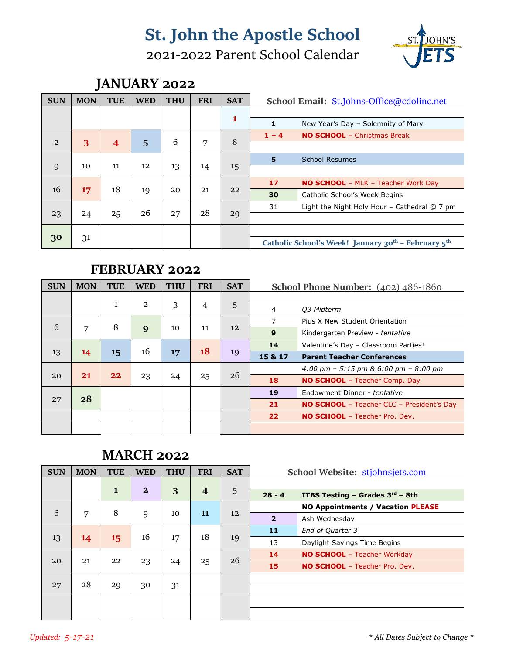# 2021-2022 Parent School Calendar



## **JANUARY 2022**

| <b>SUN</b> | <b>MON</b> | <b>TUE</b> | <b>WED</b> | <b>THU</b> | <b>FRI</b> | <b>SAT</b> | School Email: St.Johns-Office@cdolinc.net                                   |
|------------|------------|------------|------------|------------|------------|------------|-----------------------------------------------------------------------------|
|            |            |            |            |            |            | 1          |                                                                             |
|            |            |            |            |            |            |            | 1<br>New Year's Day - Solemnity of Mary                                     |
|            |            |            |            |            |            |            | <b>NO SCHOOL</b> - Christmas Break<br>$1 - 4$                               |
| 2          | 3          | 4          | 5          | 6          | 7          | 8          |                                                                             |
|            |            |            |            |            |            |            | <b>School Resumes</b><br>5                                                  |
| 9          | 10         | 11         | 12         | 13         | 14         | 15         |                                                                             |
|            |            |            |            |            |            |            | 17<br><b>NO SCHOOL</b> - MLK - Teacher Work Day                             |
| 16         | 17         | 18         | 19         | 20         | 21         | 22         | 30<br>Catholic School's Week Begins                                         |
|            |            |            |            |            |            |            | 31<br>Light the Night Holy Hour - Cathedral @ 7 pm                          |
| 23         | 24         | 25         | 26         | 27         | 28         | 29         |                                                                             |
|            |            |            |            |            |            |            |                                                                             |
| 30         | 31         |            |            |            |            |            | Catholic School's Week! January 30 <sup>th</sup> - February 5 <sup>th</sup> |

### **FEBRUARY 2022**

| <b>SUN</b> | <b>MON</b> | <b>TUE</b>                  | <b>WED</b> | <b>THU</b> | <b>FRI</b>     | <b>SAT</b> |         | <b>School Phone Number:</b> $(402)$ $486-1860$   |
|------------|------------|-----------------------------|------------|------------|----------------|------------|---------|--------------------------------------------------|
|            |            |                             | 2          |            |                |            |         |                                                  |
|            |            | $\mathbf{1}$                |            | 3          | $\overline{4}$ | 5          | 4       | Q3 Midterm                                       |
|            |            |                             |            |            |                |            | 7       | Pius X New Student Orientation                   |
| 6          | 7          | 8                           | 9          | 10         | 11             | 12         | 9       | Kindergarten Preview - tentative                 |
|            |            |                             |            |            |                |            | 14      | Valentine's Day - Classroom Parties!             |
| 13         | 14         | $15 \overline{\phantom{a}}$ | 16         | 17         | 18             | 19         | 15 & 17 | <b>Parent Teacher Conferences</b>                |
|            |            |                             |            |            |                |            |         | 4:00 pm $-$ 5:15 pm & 6:00 pm $-$ 8:00 pm        |
| 20         | 21         | 22                          | 23         | 24         | 25             | 26         | 18      | <b>NO SCHOOL</b> - Teacher Comp. Day             |
|            |            |                             |            |            |                |            | 19      | Endowment Dinner - tentative                     |
| 27         | 28         |                             |            |            |                |            | 21      | <b>NO SCHOOL</b> - Teacher CLC - President's Day |
|            |            |                             |            |            |                |            | 22      | <b>NO SCHOOL</b> - Teacher Pro. Dev.             |
|            |            |                             |            |            |                |            |         |                                                  |

### **MARCH 2022**

| <b>SUN</b> | <b>MON</b> | <b>TUE</b>   | <b>WED</b>     | <b>THU</b> | <b>FRI</b>     | <b>SAT</b> |                | School Website: stjohnsjets.com          |
|------------|------------|--------------|----------------|------------|----------------|------------|----------------|------------------------------------------|
|            |            |              | $\overline{2}$ |            |                |            |                |                                          |
|            |            | $\mathbf{1}$ |                | 3          | $\overline{4}$ | 5          | $28 - 4$       | <b>ITBS Testing - Grades 3rd - 8th</b>   |
|            |            |              |                |            |                |            |                | <b>NO Appointments / Vacation PLEASE</b> |
| 6          | 7          | 8            | 9              | 10         | 11             | 12         | $\overline{2}$ | Ash Wednesday                            |
|            |            |              |                |            |                |            | 11             | End of Quarter 3                         |
| 13         | 14         | 15           | 16             | 17         | 18             | 19         | 13             | Daylight Savings Time Begins             |
|            |            |              |                |            |                |            | 14             | <b>NO SCHOOL</b> - Teacher Workday       |
| 20         | 21         | 22           | 23             | 24         | 25             | 26         | 15             | <b>NO SCHOOL</b> - Teacher Pro. Dev.     |
|            |            |              |                |            |                |            |                |                                          |
| 27         | 28         | 29           | 30             | 31         |                |            |                |                                          |
|            |            |              |                |            |                |            |                |                                          |
|            |            |              |                |            |                |            |                |                                          |